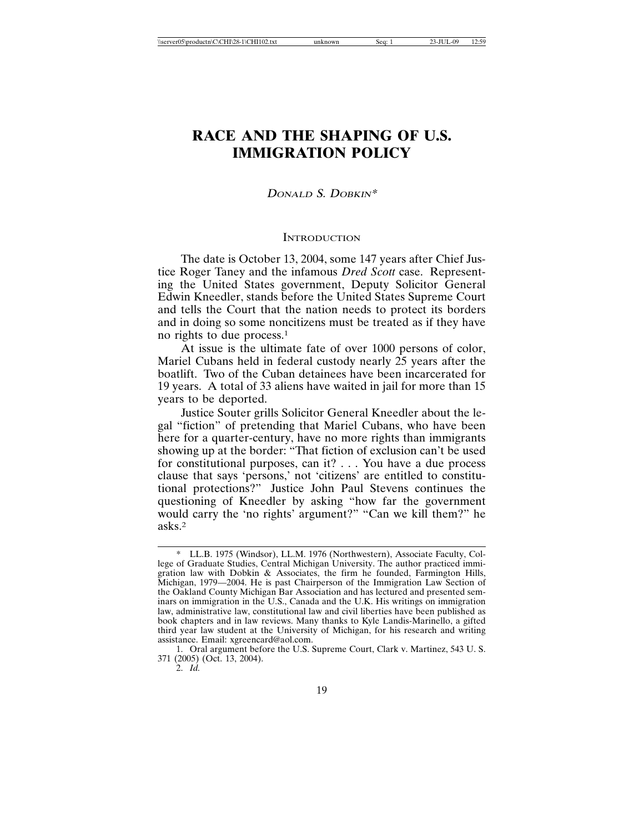# **RACE AND THE SHAPING OF U.S. IMMIGRATION POLICY**

# DONALD S. DOBKIN\*

#### **INTRODUCTION**

The date is October 13, 2004, some 147 years after Chief Justice Roger Taney and the infamous *Dred Scott* case. Representing the United States government, Deputy Solicitor General Edwin Kneedler, stands before the United States Supreme Court and tells the Court that the nation needs to protect its borders and in doing so some noncitizens must be treated as if they have no rights to due process.1

At issue is the ultimate fate of over 1000 persons of color, Mariel Cubans held in federal custody nearly 25 years after the boatlift. Two of the Cuban detainees have been incarcerated for 19 years. A total of 33 aliens have waited in jail for more than 15 years to be deported.

Justice Souter grills Solicitor General Kneedler about the legal "fiction" of pretending that Mariel Cubans, who have been here for a quarter-century, have no more rights than immigrants showing up at the border: "That fiction of exclusion can't be used for constitutional purposes, can it? . . . You have a due process clause that says 'persons,' not 'citizens' are entitled to constitutional protections?" Justice John Paul Stevens continues the questioning of Kneedler by asking "how far the government would carry the 'no rights' argument?" "Can we kill them?" he asks.2

LL.B. 1975 (Windsor), LL.M. 1976 (Northwestern), Associate Faculty, College of Graduate Studies, Central Michigan University. The author practiced immigration law with Dobkin & Associates, the firm he founded, Farmington Hills, Michigan, 1979—2004. He is past Chairperson of the Immigration Law Section of the Oakland County Michigan Bar Association and has lectured and presented seminars on immigration in the U.S., Canada and the U.K. His writings on immigration law, administrative law, constitutional law and civil liberties have been published as book chapters and in law reviews. Many thanks to Kyle Landis-Marinello, a gifted third year law student at the University of Michigan, for his research and writing assistance. Email: xgreencard@aol.com.

<sup>1.</sup> Oral argument before the U.S. Supreme Court, Clark v. Martinez, 543 U. S. 371 (2005) (Oct. 13, 2004).

<sup>2.</sup> *Id.*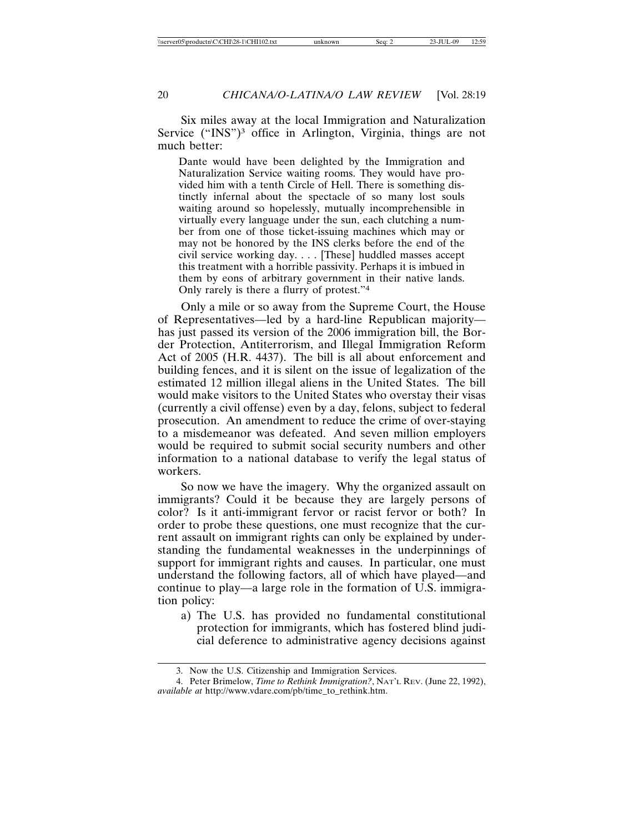Six miles away at the local Immigration and Naturalization Service ("INS")<sup>3</sup> office in Arlington, Virginia, things are not much better:

Dante would have been delighted by the Immigration and Naturalization Service waiting rooms. They would have provided him with a tenth Circle of Hell. There is something distinctly infernal about the spectacle of so many lost souls waiting around so hopelessly, mutually incomprehensible in virtually every language under the sun, each clutching a number from one of those ticket-issuing machines which may or may not be honored by the INS clerks before the end of the civil service working day. . . . [These] huddled masses accept this treatment with a horrible passivity. Perhaps it is imbued in them by eons of arbitrary government in their native lands. Only rarely is there a flurry of protest."4

Only a mile or so away from the Supreme Court, the House of Representatives—led by a hard-line Republican majority has just passed its version of the 2006 immigration bill, the Border Protection, Antiterrorism, and Illegal Immigration Reform Act of 2005 (H.R. 4437). The bill is all about enforcement and building fences, and it is silent on the issue of legalization of the estimated 12 million illegal aliens in the United States. The bill would make visitors to the United States who overstay their visas (currently a civil offense) even by a day, felons, subject to federal prosecution. An amendment to reduce the crime of over-staying to a misdemeanor was defeated. And seven million employers would be required to submit social security numbers and other information to a national database to verify the legal status of workers.

So now we have the imagery. Why the organized assault on immigrants? Could it be because they are largely persons of color? Is it anti-immigrant fervor or racist fervor or both? In order to probe these questions, one must recognize that the current assault on immigrant rights can only be explained by understanding the fundamental weaknesses in the underpinnings of support for immigrant rights and causes. In particular, one must understand the following factors, all of which have played—and continue to play—a large role in the formation of U.S. immigration policy:

a) The U.S. has provided no fundamental constitutional protection for immigrants, which has fostered blind judicial deference to administrative agency decisions against

<sup>3.</sup> Now the U.S. Citizenship and Immigration Services.

<sup>4.</sup> Peter Brimelow, *Time to Rethink Immigration?*, NAT'L REV. (June 22, 1992), *available at* http://www.vdare.com/pb/time\_to\_rethink.htm.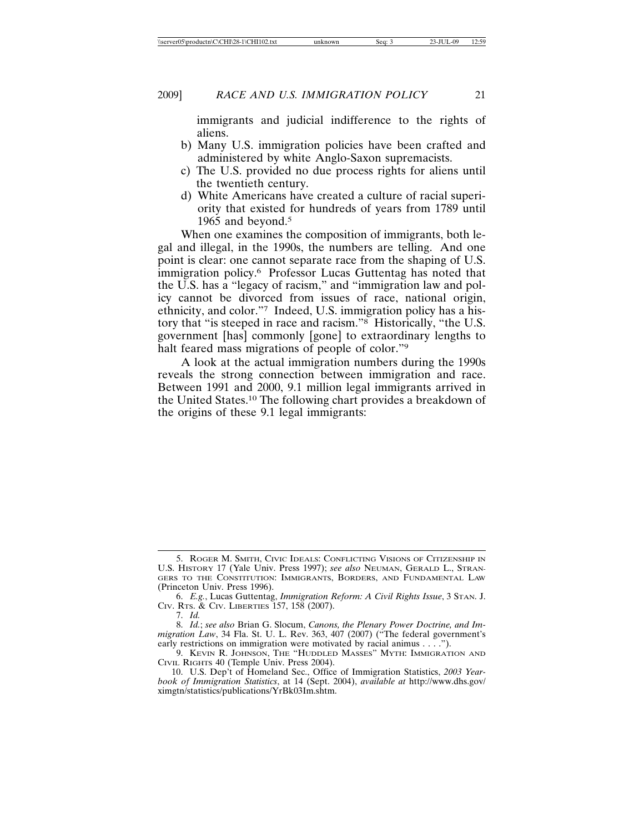immigrants and judicial indifference to the rights of aliens.

- b) Many U.S. immigration policies have been crafted and administered by white Anglo-Saxon supremacists.
- c) The U.S. provided no due process rights for aliens until the twentieth century.
- d) White Americans have created a culture of racial superiority that existed for hundreds of years from 1789 until 1965 and beyond.5

When one examines the composition of immigrants, both legal and illegal, in the 1990s, the numbers are telling. And one point is clear: one cannot separate race from the shaping of U.S. immigration policy.6 Professor Lucas Guttentag has noted that the U.S. has a "legacy of racism," and "immigration law and policy cannot be divorced from issues of race, national origin, ethnicity, and color."7 Indeed, U.S. immigration policy has a history that "is steeped in race and racism."8 Historically, "the U.S. government [has] commonly [gone] to extraordinary lengths to halt feared mass migrations of people of color."<sup>9</sup>

A look at the actual immigration numbers during the 1990s reveals the strong connection between immigration and race. Between 1991 and 2000, 9.1 million legal immigrants arrived in the United States.10 The following chart provides a breakdown of the origins of these 9.1 legal immigrants:

<sup>5.</sup> ROGER M. SMITH, CIVIC IDEALS: CONFLICTING VISIONS OF CITIZENSHIP IN U.S. HISTORY 17 (Yale Univ. Press 1997); *see also* NEUMAN, GERALD L., STRAN-GERS TO THE CONSTITUTION: IMMIGRANTS, BORDERS, AND FUNDAMENTAL LAW (Princeton Univ. Press 1996).

<sup>6.</sup> *E.g.*, Lucas Guttentag, *Immigration Reform: A Civil Rights Issue*, 3 STAN. J. CIV. RTS. & CIV. LIBERTIES 157, 158 (2007).

<sup>7.</sup> *Id.*

<sup>8.</sup> *Id.*; *see also* Brian G. Slocum, *Canons, the Plenary Power Doctrine, and Immigration Law*, 34 Fla. St. U. L. Rev. 363, 407 (2007) ("The federal government's early restrictions on immigration were motivated by racial animus . . . . ").

<sup>9.</sup> KEVIN R. JOHNSON, THE "HUDDLED MASSES" MYTH: IMMIGRATION AND CIVIL RIGHTS 40 (Temple Univ. Press 2004).

<sup>10.</sup> U.S. Dep't of Homeland Sec., Office of Immigration Statistics, *2003 Yearbook of Immigration Statistics*, at 14 (Sept. 2004), *available at* http://www.dhs.gov/ ximgtn/statistics/publications/YrBk03Im.shtm.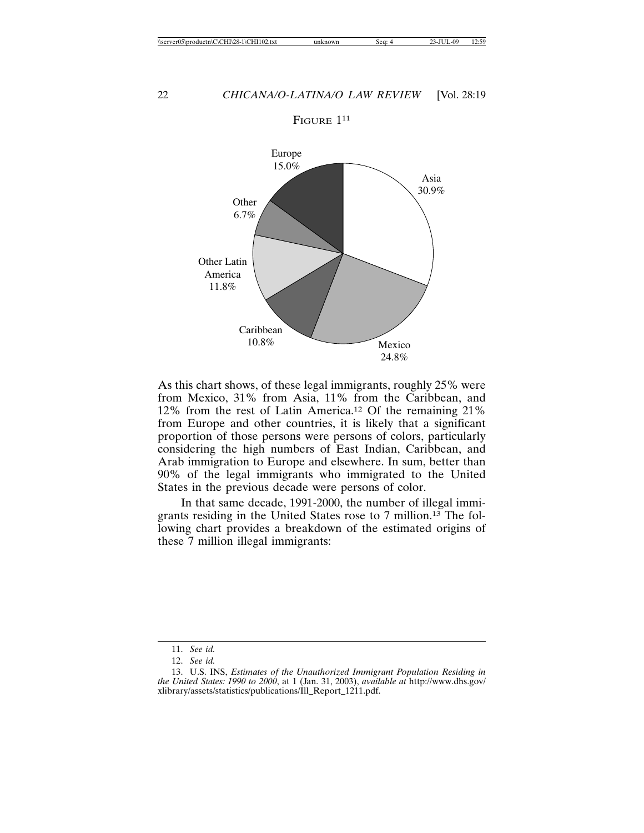FIGURE  $1^{11}$ 



As this chart shows, of these legal immigrants, roughly 25% were from Mexico, 31% from Asia, 11% from the Caribbean, and 12% from the rest of Latin America.12 Of the remaining 21% from Europe and other countries, it is likely that a significant proportion of those persons were persons of colors, particularly considering the high numbers of East Indian, Caribbean, and Arab immigration to Europe and elsewhere. In sum, better than 90% of the legal immigrants who immigrated to the United States in the previous decade were persons of color.

In that same decade, 1991-2000, the number of illegal immigrants residing in the United States rose to 7 million.13 The following chart provides a breakdown of the estimated origins of these 7 million illegal immigrants:

<sup>11.</sup> *See id.*

<sup>12.</sup> *See id.*

<sup>13.</sup> U.S. INS, *Estimates of the Unauthorized Immigrant Population Residing in the United States: 1990 to 2000*, at 1 (Jan. 31, 2003), *available at* http://www.dhs.gov/ xlibrary/assets/statistics/publications/Ill\_Report\_1211.pdf.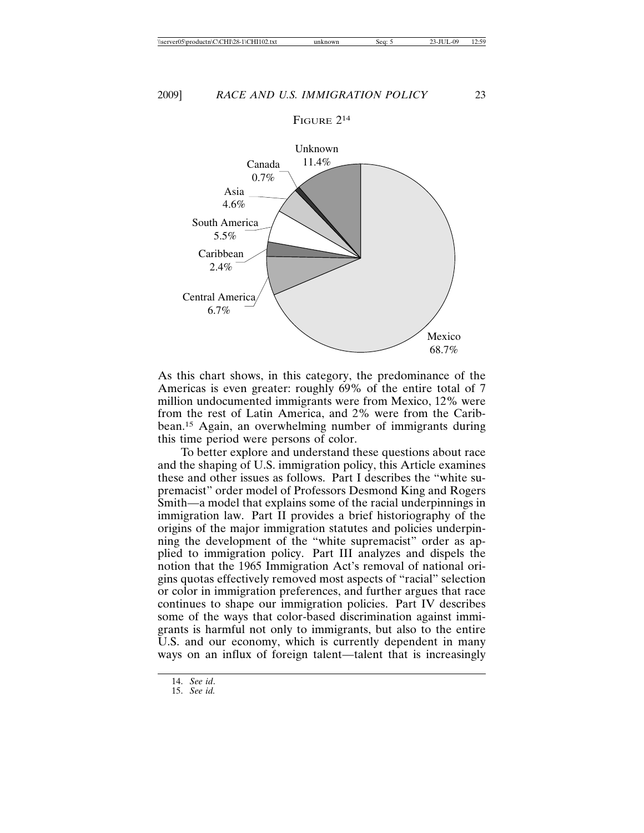

FIGURE 214

As this chart shows, in this category, the predominance of the Americas is even greater: roughly 69% of the entire total of 7 million undocumented immigrants were from Mexico, 12% were from the rest of Latin America, and 2% were from the Caribbean.15 Again, an overwhelming number of immigrants during this time period were persons of color.

To better explore and understand these questions about race and the shaping of U.S. immigration policy, this Article examines these and other issues as follows. Part I describes the "white supremacist" order model of Professors Desmond King and Rogers Smith—a model that explains some of the racial underpinnings in immigration law. Part II provides a brief historiography of the origins of the major immigration statutes and policies underpinning the development of the "white supremacist" order as applied to immigration policy. Part III analyzes and dispels the notion that the 1965 Immigration Act's removal of national origins quotas effectively removed most aspects of "racial" selection or color in immigration preferences, and further argues that race continues to shape our immigration policies. Part IV describes some of the ways that color-based discrimination against immigrants is harmful not only to immigrants, but also to the entire U.S. and our economy, which is currently dependent in many ways on an influx of foreign talent—talent that is increasingly

<sup>14.</sup> *See id*.

<sup>15.</sup> *See id.*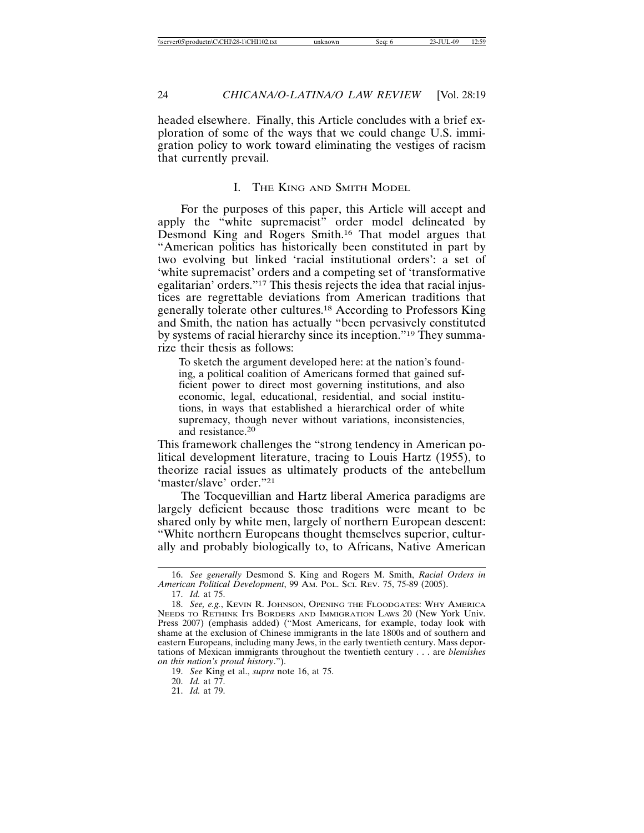headed elsewhere. Finally, this Article concludes with a brief exploration of some of the ways that we could change U.S. immigration policy to work toward eliminating the vestiges of racism that currently prevail.

## I. THE KING AND SMITH MODEL

For the purposes of this paper, this Article will accept and apply the "white supremacist" order model delineated by Desmond King and Rogers Smith.16 That model argues that "American politics has historically been constituted in part by two evolving but linked 'racial institutional orders': a set of 'white supremacist' orders and a competing set of 'transformative egalitarian' orders."17 This thesis rejects the idea that racial injustices are regrettable deviations from American traditions that generally tolerate other cultures.18 According to Professors King and Smith, the nation has actually "been pervasively constituted by systems of racial hierarchy since its inception."19 They summarize their thesis as follows:

To sketch the argument developed here: at the nation's founding, a political coalition of Americans formed that gained sufficient power to direct most governing institutions, and also economic, legal, educational, residential, and social institutions, in ways that established a hierarchical order of white supremacy, though never without variations, inconsistencies, and resistance.20

This framework challenges the "strong tendency in American political development literature, tracing to Louis Hartz (1955), to theorize racial issues as ultimately products of the antebellum 'master/slave' order."21

The Tocquevillian and Hartz liberal America paradigms are largely deficient because those traditions were meant to be shared only by white men, largely of northern European descent: "White northern Europeans thought themselves superior, culturally and probably biologically to, to Africans, Native American

<sup>16.</sup> *See generally* Desmond S. King and Rogers M. Smith, *Racial Orders in American Political Development*, 99 AM. POL. SCI. REV. 75, 75-89 (2005).

<sup>17.</sup> *Id.* at 75.

<sup>18.</sup> *See, e.g.*, KEVIN R. JOHNSON, OPENING THE FLOODGATES: WHY AMERICA NEEDS TO RETHINK ITS BORDERS AND IMMIGRATION LAWS 20 (New York Univ. Press 2007) (emphasis added) ("Most Americans, for example, today look with shame at the exclusion of Chinese immigrants in the late 1800s and of southern and eastern Europeans, including many Jews, in the early twentieth century. Mass deportations of Mexican immigrants throughout the twentieth century . . . are *blemishes on this nation's proud history*.").

<sup>19.</sup> *See* King et al., *supra* note 16, at 75.

<sup>20.</sup> *Id.* at 77.

<sup>21.</sup> *Id.* at 79.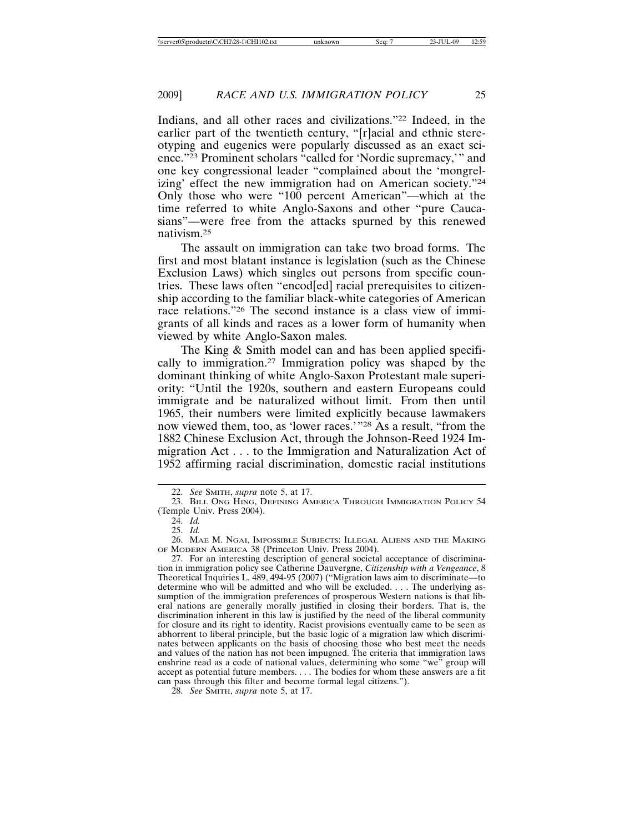Indians, and all other races and civilizations."22 Indeed, in the earlier part of the twentieth century, "[r]acial and ethnic stereotyping and eugenics were popularly discussed as an exact science."23 Prominent scholars "called for 'Nordic supremacy,'" and one key congressional leader "complained about the 'mongrelizing' effect the new immigration had on American society."24 Only those who were "100 percent American"—which at the time referred to white Anglo-Saxons and other "pure Caucasians"—were free from the attacks spurned by this renewed nativism.25

The assault on immigration can take two broad forms. The first and most blatant instance is legislation (such as the Chinese Exclusion Laws) which singles out persons from specific countries. These laws often "encod[ed] racial prerequisites to citizenship according to the familiar black-white categories of American race relations."26 The second instance is a class view of immigrants of all kinds and races as a lower form of humanity when viewed by white Anglo-Saxon males.

The King & Smith model can and has been applied specifically to immigration.27 Immigration policy was shaped by the dominant thinking of white Anglo-Saxon Protestant male superiority: "Until the 1920s, southern and eastern Europeans could immigrate and be naturalized without limit. From then until 1965, their numbers were limited explicitly because lawmakers now viewed them, too, as 'lower races.'"28 As a result, "from the 1882 Chinese Exclusion Act, through the Johnson-Reed 1924 Immigration Act . . . to the Immigration and Naturalization Act of 1952 affirming racial discrimination, domestic racial institutions

<sup>22.</sup> *See* SMITH, *supra* note 5, at 17.

<sup>23.</sup> BILL ONG HING, DEFINING AMERICA THROUGH IMMIGRATION POLICY 54 (Temple Univ. Press 2004).

<sup>24.</sup> *Id.*

<sup>25.</sup> *Id.*

<sup>26.</sup> MAE M. NGAI, IMPOSSIBLE SUBJECTS: ILLEGAL ALIENS AND THE MAKING OF MODERN AMERICA 38 (Princeton Univ. Press 2004).

<sup>27.</sup> For an interesting description of general societal acceptance of discrimination in immigration policy see Catherine Dauvergne, *Citizenship with a Vengeance*, 8 Theoretical Inquiries L. 489, 494-95 (2007) ("Migration laws aim to discriminate—to determine who will be admitted and who will be excluded. . . . The underlying assumption of the immigration preferences of prosperous Western nations is that liberal nations are generally morally justified in closing their borders. That is, the discrimination inherent in this law is justified by the need of the liberal community for closure and its right to identity. Racist provisions eventually came to be seen as abhorrent to liberal principle, but the basic logic of a migration law which discriminates between applicants on the basis of choosing those who best meet the needs and values of the nation has not been impugned. The criteria that immigration laws enshrine read as a code of national values, determining who some "we" group will accept as potential future members. . . . The bodies for whom these answers are a fit can pass through this filter and become formal legal citizens.").

<sup>28.</sup> *See* SMITH, *supra* note 5, at 17.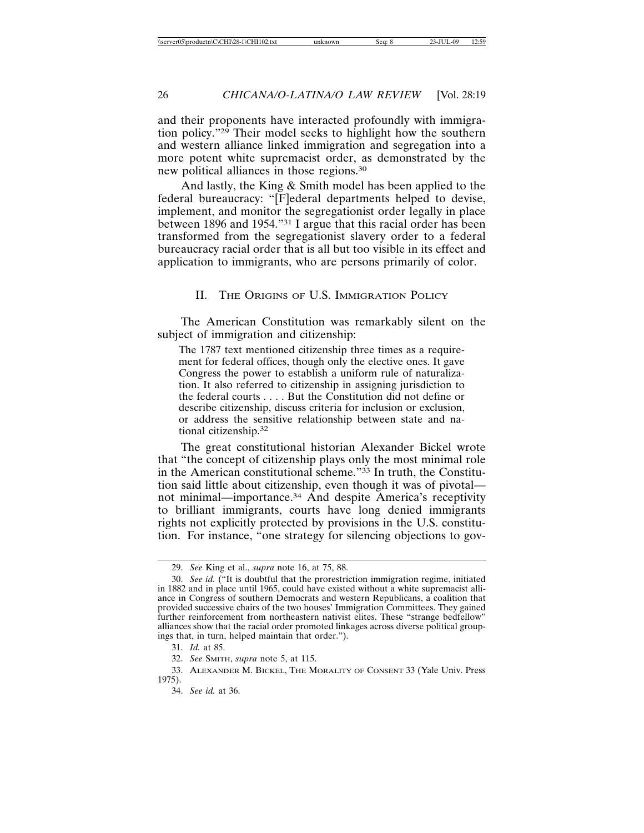and their proponents have interacted profoundly with immigration policy."29 Their model seeks to highlight how the southern and western alliance linked immigration and segregation into a more potent white supremacist order, as demonstrated by the new political alliances in those regions.30

And lastly, the King & Smith model has been applied to the federal bureaucracy: "[F]ederal departments helped to devise, implement, and monitor the segregationist order legally in place between 1896 and 1954."31 I argue that this racial order has been transformed from the segregationist slavery order to a federal bureaucracy racial order that is all but too visible in its effect and application to immigrants, who are persons primarily of color.

## II. THE ORIGINS OF U.S. IMMIGRATION POLICY

The American Constitution was remarkably silent on the subject of immigration and citizenship:

The 1787 text mentioned citizenship three times as a requirement for federal offices, though only the elective ones. It gave Congress the power to establish a uniform rule of naturalization. It also referred to citizenship in assigning jurisdiction to the federal courts . . . . But the Constitution did not define or describe citizenship, discuss criteria for inclusion or exclusion, or address the sensitive relationship between state and national citizenship.32

The great constitutional historian Alexander Bickel wrote that "the concept of citizenship plays only the most minimal role in the American constitutional scheme."33 In truth, the Constitution said little about citizenship, even though it was of pivotal not minimal—importance.34 And despite America's receptivity to brilliant immigrants, courts have long denied immigrants rights not explicitly protected by provisions in the U.S. constitution. For instance, "one strategy for silencing objections to gov-

<sup>29.</sup> *See* King et al., *supra* note 16, at 75, 88.

<sup>30.</sup> *See id.* ("It is doubtful that the prorestriction immigration regime, initiated in 1882 and in place until 1965, could have existed without a white supremacist alliance in Congress of southern Democrats and western Republicans, a coalition that provided successive chairs of the two houses' Immigration Committees. They gained further reinforcement from northeastern nativist elites. These "strange bedfellow" alliances show that the racial order promoted linkages across diverse political groupings that, in turn, helped maintain that order.").

<sup>31.</sup> *Id.* at 85.

<sup>32.</sup> *See* SMITH, *supra* note 5, at 115.

<sup>33.</sup> ALEXANDER M. BICKEL, THE MORALITY OF CONSENT 33 (Yale Univ. Press 1975).

<sup>34.</sup> *See id.* at 36.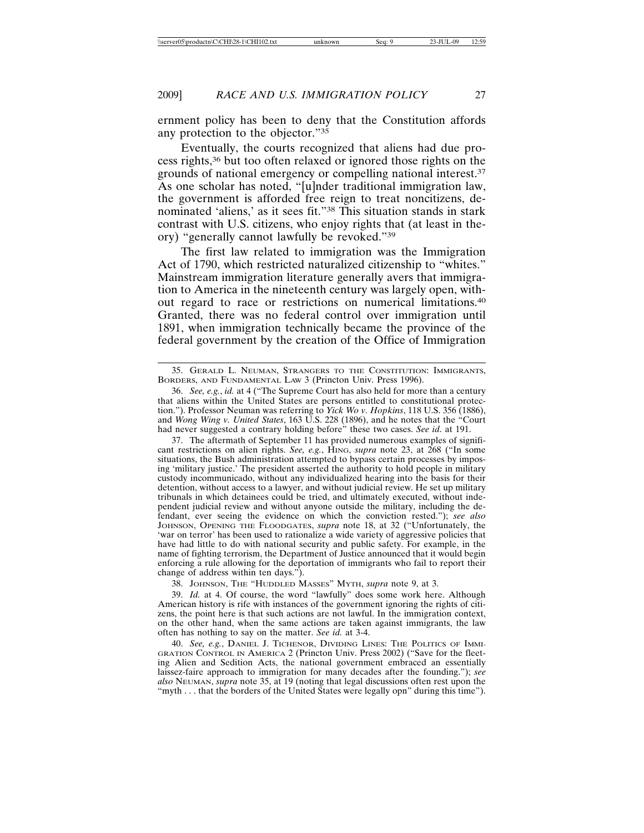ernment policy has been to deny that the Constitution affords any protection to the objector."35

Eventually, the courts recognized that aliens had due process rights,36 but too often relaxed or ignored those rights on the grounds of national emergency or compelling national interest.37 As one scholar has noted, "[u]nder traditional immigration law, the government is afforded free reign to treat noncitizens, denominated 'aliens,' as it sees fit."38 This situation stands in stark contrast with U.S. citizens, who enjoy rights that (at least in theory) "generally cannot lawfully be revoked."39

The first law related to immigration was the Immigration Act of 1790, which restricted naturalized citizenship to "whites." Mainstream immigration literature generally avers that immigration to America in the nineteenth century was largely open, without regard to race or restrictions on numerical limitations.40 Granted, there was no federal control over immigration until 1891, when immigration technically became the province of the federal government by the creation of the Office of Immigration

38. JOHNSON, THE "HUDDLED MASSES" MYTH, *supra* note 9, at 3.

39. *Id.* at 4. Of course, the word "lawfully" does some work here. Although American history is rife with instances of the government ignoring the rights of citizens, the point here is that such actions are not lawful. In the immigration context, on the other hand, when the same actions are taken against immigrants, the law often has nothing to say on the matter. *See id.* at 3-4.

40. *See, e.g.*, DANIEL J. TICHENOR, DIVIDING LINES: THE POLITICS OF IMMI-GRATION CONTROL IN AMERICA 2 (Princton Univ. Press 2002) ("Save for the fleeting Alien and Sedition Acts, the national government embraced an essentially laissez-faire approach to immigration for many decades after the founding."); *see also* NEUMAN, *supra* note 35, at 19 (noting that legal discussions often rest upon the "myth . . . that the borders of the United States were legally opn" during this time").

<sup>35.</sup> GERALD L. NEUMAN, STRANGERS TO THE CONSTITUTION: IMMIGRANTS, BORDERS, AND FUNDAMENTAL LAW 3 (Princton Univ. Press 1996).

<sup>36.</sup> *See, e.g.*, *id.* at 4 ("The Supreme Court has also held for more than a century that aliens within the United States are persons entitled to constitutional protection."). Professor Neuman was referring to *Yick Wo v. Hopkins*, 118 U.S. 356 (1886), and *Wong Wing v. United States*, 163 U.S. 228 (1896), and he notes that the "Court had never suggested a contrary holding before" these two cases. *See id*. at 191.

<sup>37.</sup> The aftermath of September 11 has provided numerous examples of significant restrictions on alien rights. *See, e.g.*, HING, *supra* note 23, at 268 ("In some situations, the Bush administration attempted to bypass certain processes by imposing 'military justice.' The president asserted the authority to hold people in military custody incommunicado, without any individualized hearing into the basis for their detention, without access to a lawyer, and without judicial review. He set up military tribunals in which detainees could be tried, and ultimately executed, without independent judicial review and without anyone outside the military, including the defendant, ever seeing the evidence on which the conviction rested."); *see also* JOHNSON, OPENING THE FLOODGATES, *supra* note 18, at 32 ("Unfortunately, the 'war on terror' has been used to rationalize a wide variety of aggressive policies that have had little to do with national security and public safety. For example, in the name of fighting terrorism, the Department of Justice announced that it would begin enforcing a rule allowing for the deportation of immigrants who fail to report their change of address within ten days.").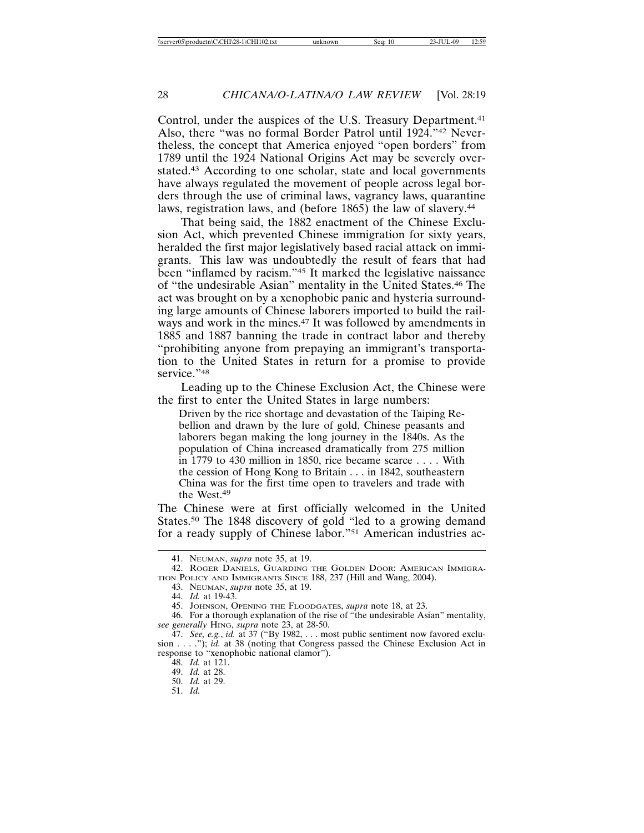Control, under the auspices of the U.S. Treasury Department.<sup>41</sup> Also, there "was no formal Border Patrol until 1924."42 Nevertheless, the concept that America enjoyed "open borders" from 1789 until the 1924 National Origins Act may be severely overstated.<sup>43</sup> According to one scholar, state and local governments have always regulated the movement of people across legal borders through the use of criminal laws, vagrancy laws, quarantine laws, registration laws, and (before 1865) the law of slavery.<sup>44</sup>

That being said, the 1882 enactment of the Chinese Exclusion Act, which prevented Chinese immigration for sixty years, heralded the first major legislatively based racial attack on immigrants. This law was undoubtedly the result of fears that had been "inflamed by racism."45 It marked the legislative naissance of "the undesirable Asian" mentality in the United States.46 The act was brought on by a xenophobic panic and hysteria surrounding large amounts of Chinese laborers imported to build the railways and work in the mines.<sup>47</sup> It was followed by amendments in 1885 and 1887 banning the trade in contract labor and thereby "prohibiting anyone from prepaying an immigrant's transportation to the United States in return for a promise to provide service."48

Leading up to the Chinese Exclusion Act, the Chinese were the first to enter the United States in large numbers:

Driven by the rice shortage and devastation of the Taiping Rebellion and drawn by the lure of gold, Chinese peasants and laborers began making the long journey in the 1840s. As the population of China increased dramatically from 275 million in 1779 to 430 million in 1850, rice became scarce . . . . With the cession of Hong Kong to Britain . . . in 1842, southeastern China was for the first time open to travelers and trade with the West.49

The Chinese were at first officially welcomed in the United States.<sup>50</sup> The 1848 discovery of gold "led to a growing demand for a ready supply of Chinese labor."51 American industries ac-

<sup>41.</sup> NEUMAN, *supra* note 35, at 19.

<sup>42.</sup> ROGER DANIELS, GUARDING THE GOLDEN DOOR: AMERICAN IMMIGRA-TION POLICY AND IMMIGRANTS SINCE 188, 237 (Hill and Wang, 2004).

<sup>43.</sup> NEUMAN, *supra* note 35, at 19.

<sup>44.</sup> *Id.* at 19-43.

<sup>45.</sup> JOHNSON, OPENING THE FLOODGATES, *supra* note 18, at 23.

<sup>46.</sup> For a thorough explanation of the rise of "the undesirable Asian" mentality, *see generally* HING, *supra* note 23, at 28-50.

<sup>47.</sup> *See, e.g.*, *id.* at 37 ("By 1982, . . . most public sentiment now favored exclusion . . . ."); *id.* at 38 (noting that Congress passed the Chinese Exclusion Act in response to "xenophobic national clamor").

<sup>48.</sup> *Id.* at 121.

<sup>49.</sup> *Id.* at 28.

<sup>50.</sup> *Id.* at 29.

<sup>51.</sup> *Id.*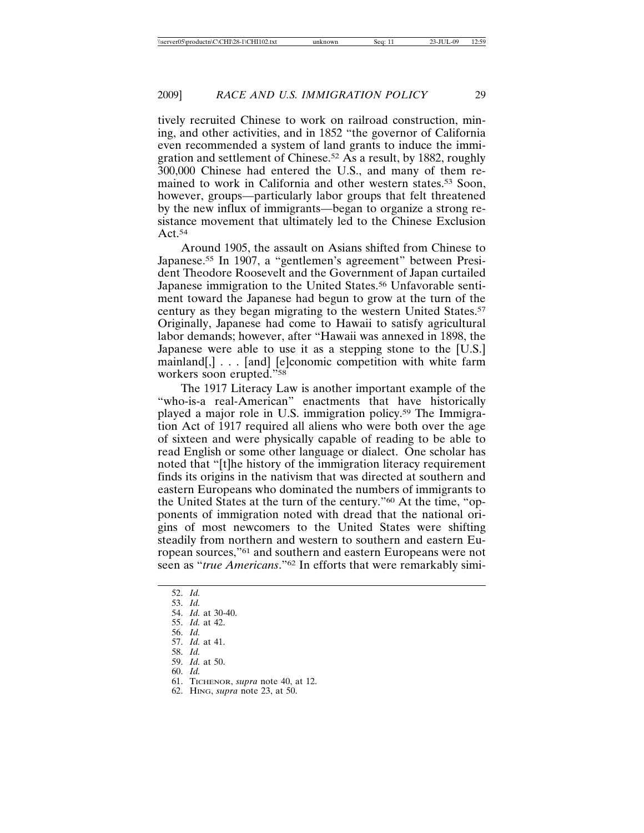tively recruited Chinese to work on railroad construction, mining, and other activities, and in 1852 "the governor of California even recommended a system of land grants to induce the immigration and settlement of Chinese.52 As a result, by 1882, roughly 300,000 Chinese had entered the U.S., and many of them remained to work in California and other western states.<sup>53</sup> Soon, however, groups—particularly labor groups that felt threatened by the new influx of immigrants—began to organize a strong resistance movement that ultimately led to the Chinese Exclusion Act.54

Around 1905, the assault on Asians shifted from Chinese to Japanese.55 In 1907, a "gentlemen's agreement" between President Theodore Roosevelt and the Government of Japan curtailed Japanese immigration to the United States.<sup>56</sup> Unfavorable sentiment toward the Japanese had begun to grow at the turn of the century as they began migrating to the western United States.57 Originally, Japanese had come to Hawaii to satisfy agricultural labor demands; however, after "Hawaii was annexed in 1898, the Japanese were able to use it as a stepping stone to the [U.S.] mainland[,] . . . [and] [e]conomic competition with white farm workers soon erupted."58

The 1917 Literacy Law is another important example of the "who-is-a real-American" enactments that have historically played a major role in U.S. immigration policy.59 The Immigration Act of 1917 required all aliens who were both over the age of sixteen and were physically capable of reading to be able to read English or some other language or dialect. One scholar has noted that "[t]he history of the immigration literacy requirement finds its origins in the nativism that was directed at southern and eastern Europeans who dominated the numbers of immigrants to the United States at the turn of the century."60 At the time, "opponents of immigration noted with dread that the national origins of most newcomers to the United States were shifting steadily from northern and western to southern and eastern European sources,"61 and southern and eastern Europeans were not seen as "*true Americans*."62 In efforts that were remarkably simi-

- 54. *Id.* at 30-40. 55. *Id.* at 42.
- 56. *Id.*
- 57. *Id.* at 41.
- 58. *Id.*

- 60. *Id.*
	-
- 61. TICHENOR, *supra* note 40, at 12.
- 62. HING, *supra* note 23, at 50.

<sup>52.</sup> *Id.*

<sup>53.</sup> *Id.*

<sup>59.</sup> *Id.* at 50.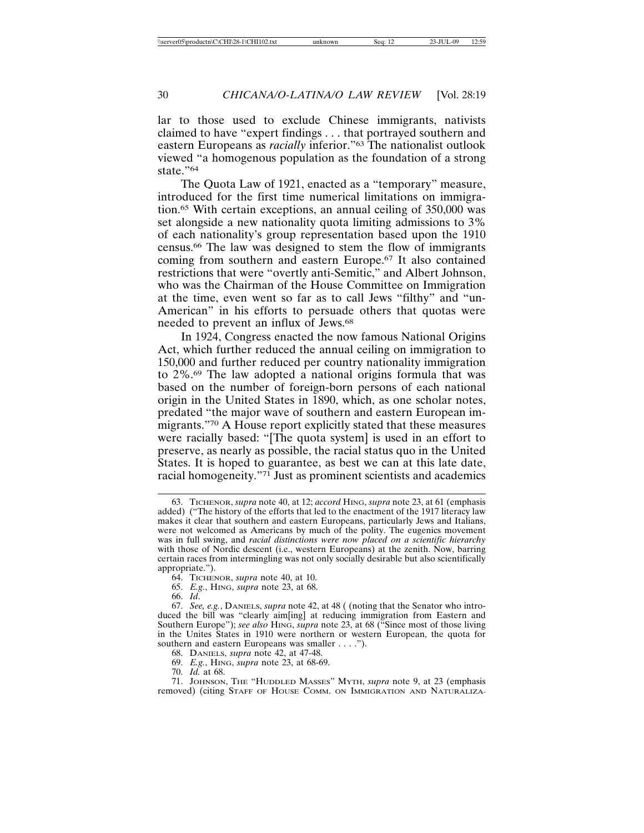lar to those used to exclude Chinese immigrants, nativists claimed to have "expert findings . . . that portrayed southern and eastern Europeans as *racially* inferior."63 The nationalist outlook viewed "a homogenous population as the foundation of a strong state."64

The Quota Law of 1921, enacted as a "temporary" measure, introduced for the first time numerical limitations on immigration.65 With certain exceptions, an annual ceiling of 350,000 was set alongside a new nationality quota limiting admissions to 3% of each nationality's group representation based upon the 1910 census.66 The law was designed to stem the flow of immigrants coming from southern and eastern Europe.67 It also contained restrictions that were "overtly anti-Semitic," and Albert Johnson, who was the Chairman of the House Committee on Immigration at the time, even went so far as to call Jews "filthy" and "un-American" in his efforts to persuade others that quotas were needed to prevent an influx of Jews.68

In 1924, Congress enacted the now famous National Origins Act, which further reduced the annual ceiling on immigration to 150,000 and further reduced per country nationality immigration to 2%.69 The law adopted a national origins formula that was based on the number of foreign-born persons of each national origin in the United States in 1890, which, as one scholar notes, predated "the major wave of southern and eastern European immigrants."70 A House report explicitly stated that these measures were racially based: "[The quota system] is used in an effort to preserve, as nearly as possible, the racial status quo in the United States. It is hoped to guarantee, as best we can at this late date, racial homogeneity."71 Just as prominent scientists and academics

65. *E.g.*, HING, *supra* note 23, at 68.

66. *Id*.

70. *Id.* at 68.

<sup>63.</sup> TICHENOR, *supra* note 40, at 12; *accord* HING, *supra* note 23, at 61 (emphasis added) ("The history of the efforts that led to the enactment of the 1917 literacy law makes it clear that southern and eastern Europeans, particularly Jews and Italians, were not welcomed as Americans by much of the polity. The eugenics movement was in full swing, and *racial distinctions were now placed on a scientific hierarchy* with those of Nordic descent (i.e., western Europeans) at the zenith. Now, barring certain races from intermingling was not only socially desirable but also scientifically appropriate.").

<sup>64.</sup> TICHENOR, *supra* note 40, at 10.

<sup>67.</sup> *See, e.g.*, DANIELS, *supra* note 42, at 48 ( (noting that the Senator who introduced the bill was "clearly aim[ing] at reducing immigration from Eastern and Southern Europe"); *see also* HING, *supra* note 23, at 68 ("Since most of those living in the Unites States in 1910 were northern or western European, the quota for southern and eastern Europeans was smaller . . . .").

<sup>68.</sup> DANIELS, *supra* note 42, at 47-48.

<sup>69.</sup> *E.g.*, HING, *supra* note 23, at 68-69.

<sup>71.</sup> JOHNSON, THE "HUDDLED MASSES" MYTH, *supra* note 9, at 23 (emphasis removed) (citing STAFF OF HOUSE COMM. ON IMMIGRATION AND NATURALIZA-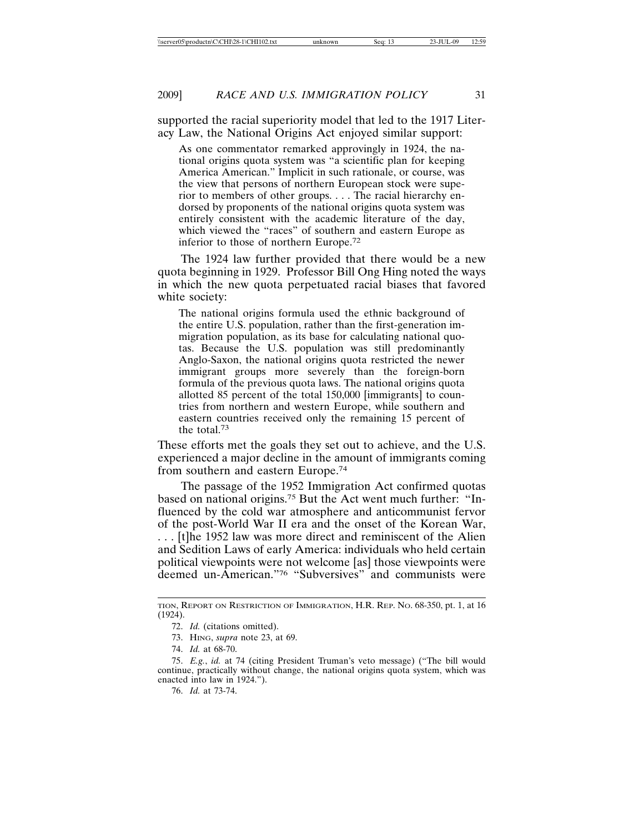supported the racial superiority model that led to the 1917 Literacy Law, the National Origins Act enjoyed similar support:

As one commentator remarked approvingly in 1924, the national origins quota system was "a scientific plan for keeping America American." Implicit in such rationale, or course, was the view that persons of northern European stock were superior to members of other groups. . . . The racial hierarchy endorsed by proponents of the national origins quota system was entirely consistent with the academic literature of the day, which viewed the "races" of southern and eastern Europe as inferior to those of northern Europe.72

The 1924 law further provided that there would be a new quota beginning in 1929. Professor Bill Ong Hing noted the ways in which the new quota perpetuated racial biases that favored white society:

The national origins formula used the ethnic background of the entire U.S. population, rather than the first-generation immigration population, as its base for calculating national quotas. Because the U.S. population was still predominantly Anglo-Saxon, the national origins quota restricted the newer immigrant groups more severely than the foreign-born formula of the previous quota laws. The national origins quota allotted 85 percent of the total 150,000 [immigrants] to countries from northern and western Europe, while southern and eastern countries received only the remaining 15 percent of the total.73

These efforts met the goals they set out to achieve, and the U.S. experienced a major decline in the amount of immigrants coming from southern and eastern Europe.74

The passage of the 1952 Immigration Act confirmed quotas based on national origins.75 But the Act went much further: "Influenced by the cold war atmosphere and anticommunist fervor of the post-World War II era and the onset of the Korean War, . . . [t]he 1952 law was more direct and reminiscent of the Alien and Sedition Laws of early America: individuals who held certain political viewpoints were not welcome [as] those viewpoints were deemed un-American."76 "Subversives" and communists were

TION, REPORT ON RESTRICTION OF IMMIGRATION, H.R. REP. NO. 68-350, pt. 1, at 16 (1924).

<sup>72.</sup> *Id.* (citations omitted).

<sup>73.</sup> HING, *supra* note 23, at 69.

<sup>74.</sup> *Id.* at 68-70.

<sup>75.</sup> *E.g.*, *id.* at 74 (citing President Truman's veto message) ("The bill would continue, practically without change, the national origins quota system, which was enacted into law in 1924.").

<sup>76.</sup> *Id.* at 73-74.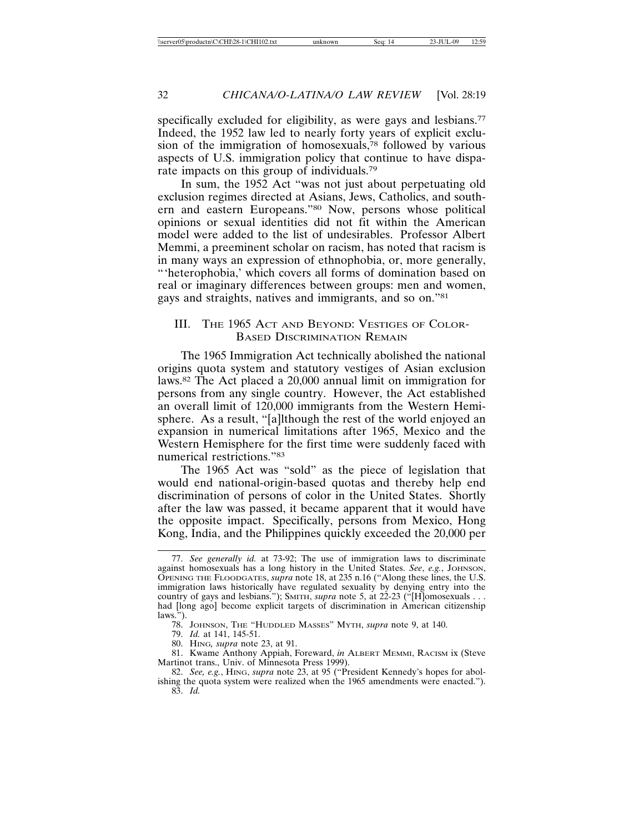specifically excluded for eligibility, as were gays and lesbians.<sup>77</sup> Indeed, the 1952 law led to nearly forty years of explicit exclusion of the immigration of homosexuals,78 followed by various aspects of U.S. immigration policy that continue to have disparate impacts on this group of individuals.79

In sum, the 1952 Act "was not just about perpetuating old exclusion regimes directed at Asians, Jews, Catholics, and southern and eastern Europeans."80 Now, persons whose political opinions or sexual identities did not fit within the American model were added to the list of undesirables. Professor Albert Memmi, a preeminent scholar on racism, has noted that racism is in many ways an expression of ethnophobia, or, more generally, "'heterophobia,' which covers all forms of domination based on real or imaginary differences between groups: men and women, gays and straights, natives and immigrants, and so on."81

# III. THE 1965 ACT AND BEYOND: VESTIGES OF COLOR-BASED DISCRIMINATION REMAIN

The 1965 Immigration Act technically abolished the national origins quota system and statutory vestiges of Asian exclusion laws.82 The Act placed a 20,000 annual limit on immigration for persons from any single country. However, the Act established an overall limit of 120,000 immigrants from the Western Hemisphere. As a result, "[a]lthough the rest of the world enjoyed an expansion in numerical limitations after 1965, Mexico and the Western Hemisphere for the first time were suddenly faced with numerical restrictions."83

The 1965 Act was "sold" as the piece of legislation that would end national-origin-based quotas and thereby help end discrimination of persons of color in the United States. Shortly after the law was passed, it became apparent that it would have the opposite impact. Specifically, persons from Mexico, Hong Kong, India, and the Philippines quickly exceeded the 20,000 per

<sup>77.</sup> *See generally id.* at 73-92; The use of immigration laws to discriminate against homosexuals has a long history in the United States. *See*, *e.g.*, JOHNSON, OPENING THE FLOODGATES, *supra* note 18, at 235 n.16 ("Along these lines, the U.S. immigration laws historically have regulated sexuality by denying entry into the country of gays and lesbians."); SMITH, *supra* note 5, at 22-23 ("[H]omosexuals . . . had [long ago] become explicit targets of discrimination in American citizenship laws.

<sup>78.</sup> JOHNSON, THE "HUDDLED MASSES" MYTH, *supra* note 9, at 140.

<sup>79.</sup> *Id.* at 141, 145-51.

<sup>80.</sup> HING*, supra* note 23, at 91.

<sup>81.</sup> Kwame Anthony Appiah, Foreward, *in* ALBERT MEMMI, RACISM ix (Steve Martinot trans., Univ. of Minnesota Press 1999).

<sup>82.</sup> *See, e.g.*, HING, *supra* note 23, at 95 ("President Kennedy's hopes for abolishing the quota system were realized when the 1965 amendments were enacted."). 83. *Id.*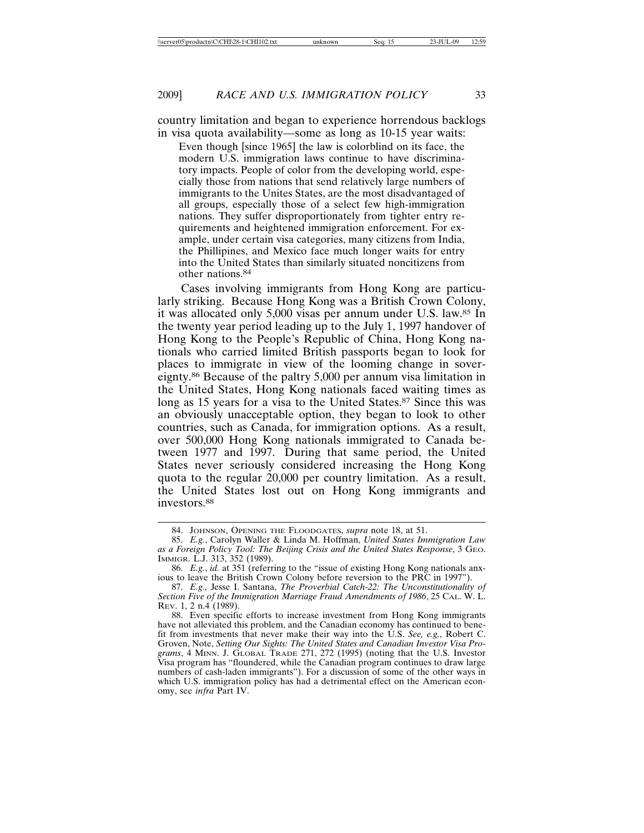country limitation and began to experience horrendous backlogs in visa quota availability—some as long as 10-15 year waits:

Even though [since 1965] the law is colorblind on its face, the modern U.S. immigration laws continue to have discriminatory impacts. People of color from the developing world, especially those from nations that send relatively large numbers of immigrants to the Unites States, are the most disadvantaged of all groups, especially those of a select few high-immigration nations. They suffer disproportionately from tighter entry requirements and heightened immigration enforcement. For example, under certain visa categories, many citizens from India, the Phillipines, and Mexico face much longer waits for entry into the United States than similarly situated noncitizens from other nations.84

Cases involving immigrants from Hong Kong are particularly striking. Because Hong Kong was a British Crown Colony, it was allocated only 5,000 visas per annum under U.S. law.85 In the twenty year period leading up to the July 1, 1997 handover of Hong Kong to the People's Republic of China, Hong Kong nationals who carried limited British passports began to look for places to immigrate in view of the looming change in sovereignty.86 Because of the paltry 5,000 per annum visa limitation in the United States, Hong Kong nationals faced waiting times as long as 15 years for a visa to the United States.<sup>87</sup> Since this was an obviously unacceptable option, they began to look to other countries, such as Canada, for immigration options. As a result, over 500,000 Hong Kong nationals immigrated to Canada between 1977 and 1997. During that same period, the United States never seriously considered increasing the Hong Kong quota to the regular 20,000 per country limitation. As a result, the United States lost out on Hong Kong immigrants and investors.88

<sup>84.</sup> JOHNSON, OPENING THE FLOODGATES, *supra* note 18, at 51.

<sup>85.</sup> *E.g.*, Carolyn Waller & Linda M. Hoffman, *United States Immigration Law as a Foreign Policy Tool: The Beijing Crisis and the United States Response*, 3 GEO. IMMIGR. L.J. 313, 352 (1989).

<sup>86.</sup> *E.g.*, *id.* at 351 (referring to the "issue of existing Hong Kong nationals anxious to leave the British Crown Colony before reversion to the PRC in 1997").

<sup>87.</sup> *E.g.,* Jesse I. Santana, *The Proverbial Catch-22: The Unconstitutionality of Section Five of the Immigration Marriage Fraud Amendments of 1986*, 25 CAL. W. L. REV. 1, 2 n.4 (1989).

<sup>88.</sup> Even specific efforts to increase investment from Hong Kong immigrants have not alleviated this problem, and the Canadian economy has continued to benefit from investments that never make their way into the U.S. *See, e.g.*, Robert C. Groven, Note, *Setting Our Sights: The United States and Canadian Investor Visa Programs*, 4 MINN. J. GLOBAL TRADE 271, 272 (1995) (noting that the U.S. Investor Visa program has "floundered, while the Canadian program continues to draw large numbers of cash-laden immigrants"). For a discussion of some of the other ways in which U.S. immigration policy has had a detrimental effect on the American economy, see *infra* Part IV.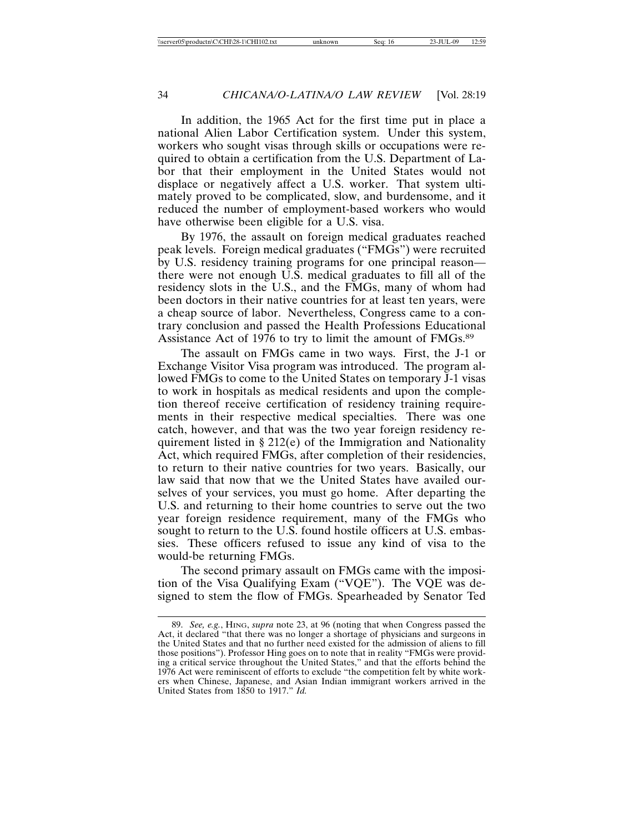In addition, the 1965 Act for the first time put in place a national Alien Labor Certification system. Under this system, workers who sought visas through skills or occupations were required to obtain a certification from the U.S. Department of Labor that their employment in the United States would not displace or negatively affect a U.S. worker. That system ultimately proved to be complicated, slow, and burdensome, and it reduced the number of employment-based workers who would have otherwise been eligible for a U.S. visa.

By 1976, the assault on foreign medical graduates reached peak levels. Foreign medical graduates ("FMGs") were recruited by U.S. residency training programs for one principal reason there were not enough U.S. medical graduates to fill all of the residency slots in the U.S., and the FMGs, many of whom had been doctors in their native countries for at least ten years, were a cheap source of labor. Nevertheless, Congress came to a contrary conclusion and passed the Health Professions Educational Assistance Act of 1976 to try to limit the amount of FMGs.89

The assault on FMGs came in two ways. First, the J-1 or Exchange Visitor Visa program was introduced. The program allowed FMGs to come to the United States on temporary J-1 visas to work in hospitals as medical residents and upon the completion thereof receive certification of residency training requirements in their respective medical specialties. There was one catch, however, and that was the two year foreign residency requirement listed in § 212(e) of the Immigration and Nationality Act, which required FMGs, after completion of their residencies, to return to their native countries for two years. Basically, our law said that now that we the United States have availed ourselves of your services, you must go home. After departing the U.S. and returning to their home countries to serve out the two year foreign residence requirement, many of the FMGs who sought to return to the U.S. found hostile officers at U.S. embassies. These officers refused to issue any kind of visa to the would-be returning FMGs.

The second primary assault on FMGs came with the imposition of the Visa Qualifying Exam ("VQE"). The VQE was designed to stem the flow of FMGs. Spearheaded by Senator Ted

<sup>89.</sup> *See, e.g.*, HING, *supra* note 23, at 96 (noting that when Congress passed the Act, it declared "that there was no longer a shortage of physicians and surgeons in the United States and that no further need existed for the admission of aliens to fill those positions"). Professor Hing goes on to note that in reality "FMGs were providing a critical service throughout the United States," and that the efforts behind the 1976 Act were reminiscent of efforts to exclude "the competition felt by white workers when Chinese, Japanese, and Asian Indian immigrant workers arrived in the United States from 1850 to 1917." *Id.*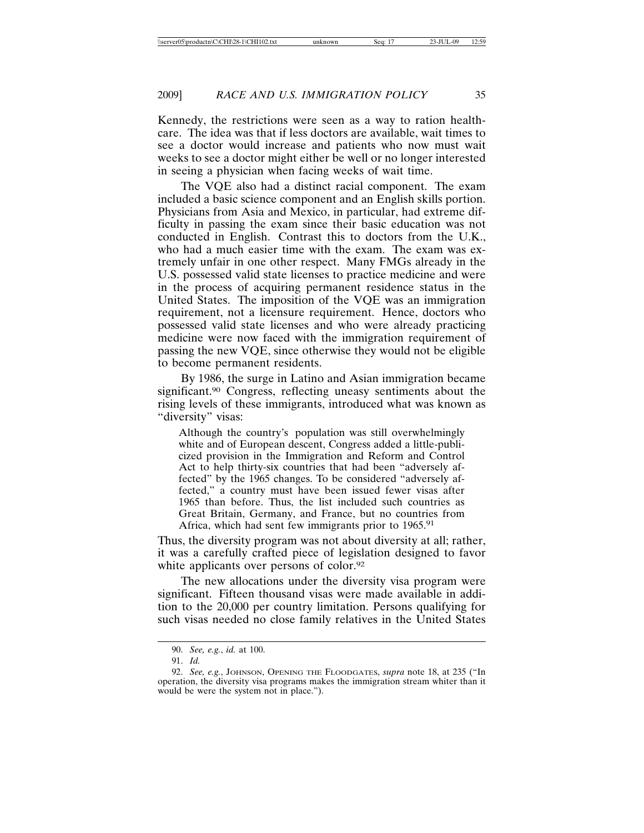Kennedy, the restrictions were seen as a way to ration healthcare. The idea was that if less doctors are available, wait times to see a doctor would increase and patients who now must wait weeks to see a doctor might either be well or no longer interested in seeing a physician when facing weeks of wait time.

The VQE also had a distinct racial component. The exam included a basic science component and an English skills portion. Physicians from Asia and Mexico, in particular, had extreme difficulty in passing the exam since their basic education was not conducted in English. Contrast this to doctors from the U.K., who had a much easier time with the exam. The exam was extremely unfair in one other respect. Many FMGs already in the U.S. possessed valid state licenses to practice medicine and were in the process of acquiring permanent residence status in the United States. The imposition of the VQE was an immigration requirement, not a licensure requirement. Hence, doctors who possessed valid state licenses and who were already practicing medicine were now faced with the immigration requirement of passing the new VQE, since otherwise they would not be eligible to become permanent residents.

By 1986, the surge in Latino and Asian immigration became significant.<sup>90</sup> Congress, reflecting uneasy sentiments about the rising levels of these immigrants, introduced what was known as "diversity" visas:

Although the country's population was still overwhelmingly white and of European descent, Congress added a little-publicized provision in the Immigration and Reform and Control Act to help thirty-six countries that had been "adversely affected" by the 1965 changes. To be considered "adversely affected," a country must have been issued fewer visas after 1965 than before. Thus, the list included such countries as Great Britain, Germany, and France, but no countries from Africa, which had sent few immigrants prior to 1965.91

Thus, the diversity program was not about diversity at all; rather, it was a carefully crafted piece of legislation designed to favor white applicants over persons of color.<sup>92</sup>

The new allocations under the diversity visa program were significant. Fifteen thousand visas were made available in addition to the 20,000 per country limitation. Persons qualifying for such visas needed no close family relatives in the United States

<sup>90.</sup> *See, e.g.*, *id.* at 100.

<sup>91.</sup> *Id.*

<sup>92.</sup> *See, e.g.*, JOHNSON, OPENING THE FLOODGATES, *supra* note 18, at 235 ("In operation, the diversity visa programs makes the immigration stream whiter than it would be were the system not in place.").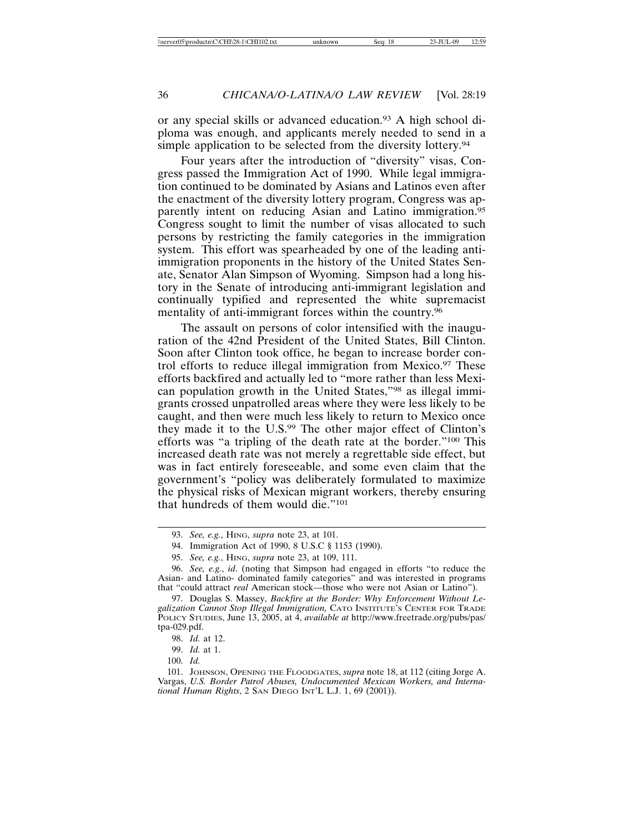or any special skills or advanced education.93 A high school diploma was enough, and applicants merely needed to send in a simple application to be selected from the diversity lottery.<sup>94</sup>

Four years after the introduction of "diversity" visas, Congress passed the Immigration Act of 1990. While legal immigration continued to be dominated by Asians and Latinos even after the enactment of the diversity lottery program, Congress was apparently intent on reducing Asian and Latino immigration.95 Congress sought to limit the number of visas allocated to such persons by restricting the family categories in the immigration system. This effort was spearheaded by one of the leading antiimmigration proponents in the history of the United States Senate, Senator Alan Simpson of Wyoming. Simpson had a long history in the Senate of introducing anti-immigrant legislation and continually typified and represented the white supremacist mentality of anti-immigrant forces within the country.96

The assault on persons of color intensified with the inauguration of the 42nd President of the United States, Bill Clinton. Soon after Clinton took office, he began to increase border control efforts to reduce illegal immigration from Mexico.<sup>97</sup> These efforts backfired and actually led to "more rather than less Mexican population growth in the United States,"98 as illegal immigrants crossed unpatrolled areas where they were less likely to be caught, and then were much less likely to return to Mexico once they made it to the U.S.99 The other major effect of Clinton's efforts was "a tripling of the death rate at the border."100 This increased death rate was not merely a regrettable side effect, but was in fact entirely foreseeable, and some even claim that the government's "policy was deliberately formulated to maximize the physical risks of Mexican migrant workers, thereby ensuring that hundreds of them would die."101

<sup>93.</sup> *See, e.g.*, HING, *supra* note 23, at 101.

<sup>94.</sup> Immigration Act of 1990, 8 U.S.C § 1153 (1990).

<sup>95.</sup> *See, e.g.*, HING, *supra* note 23, at 109, 111.

<sup>96.</sup> *See, e.g.*, *id*. (noting that Simpson had engaged in efforts "to reduce the Asian- and Latino- dominated family categories" and was interested in programs that "could attract *real* American stock—those who were not Asian or Latino").

<sup>97.</sup> Douglas S. Massey, *Backfire at the Border: Why Enforcement Without Legalization Cannot Stop Illegal Immigration,* CATO INSTITUTE'S CENTER FOR TRADE POLICY STUDIES, June 13, 2005, at 4, *available at* http://www.freetrade.org/pubs/pas/ tpa-029.pdf.

<sup>98.</sup> *Id.* at 12.

<sup>99.</sup> *Id.* at 1.

<sup>100.</sup> *Id.*

<sup>101.</sup> JOHNSON, OPENING THE FLOODGATES, *supra* note 18, at 112 (citing Jorge A. Vargas, *U.S. Border Patrol Abuses, Undocumented Mexican Workers, and International Human Rights*, 2 SAN DIEGO INT'L L.J. 1, 69 (2001)).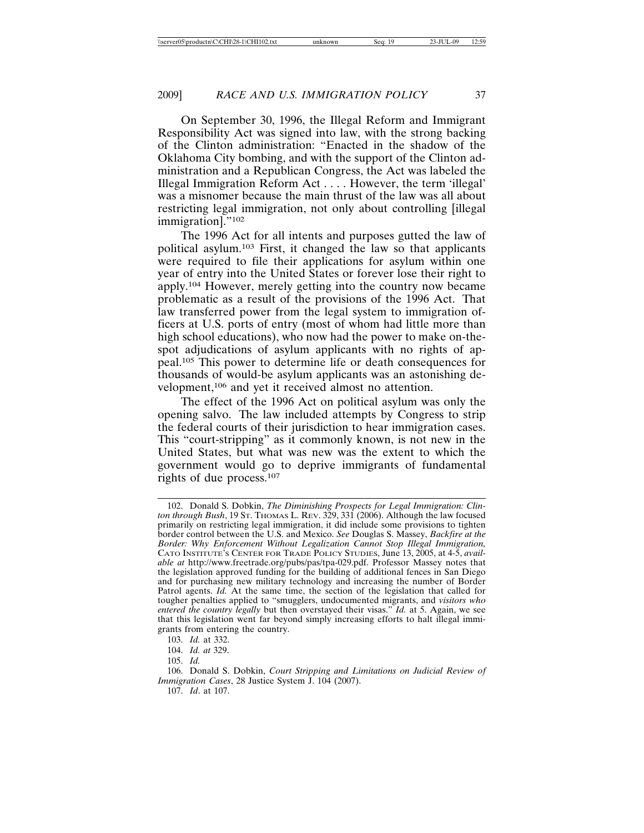On September 30, 1996, the Illegal Reform and Immigrant Responsibility Act was signed into law, with the strong backing of the Clinton administration: "Enacted in the shadow of the Oklahoma City bombing, and with the support of the Clinton administration and a Republican Congress, the Act was labeled the Illegal Immigration Reform Act . . . . However, the term 'illegal' was a misnomer because the main thrust of the law was all about restricting legal immigration, not only about controlling [illegal immigration]."102

The 1996 Act for all intents and purposes gutted the law of political asylum.103 First, it changed the law so that applicants were required to file their applications for asylum within one year of entry into the United States or forever lose their right to apply.104 However, merely getting into the country now became problematic as a result of the provisions of the 1996 Act. That law transferred power from the legal system to immigration officers at U.S. ports of entry (most of whom had little more than high school educations), who now had the power to make on-thespot adjudications of asylum applicants with no rights of appeal.105 This power to determine life or death consequences for thousands of would-be asylum applicants was an astonishing development,106 and yet it received almost no attention.

The effect of the 1996 Act on political asylum was only the opening salvo. The law included attempts by Congress to strip the federal courts of their jurisdiction to hear immigration cases. This "court-stripping" as it commonly known, is not new in the United States, but what was new was the extent to which the government would go to deprive immigrants of fundamental rights of due process.107

<sup>102.</sup> Donald S. Dobkin, *The Diminishing Prospects for Legal Immigration: Clinton through Bush*, 19 ST. THOMAS L. REV. 329, 331 (2006). Although the law focused primarily on restricting legal immigration, it did include some provisions to tighten border control between the U.S. and Mexico. *See* Douglas S. Massey, *Backfire at the Border: Why Enforcement Without Legalization Cannot Stop Illegal Immigration,* CATO INSTITUTE'S CENTER FOR TRADE POLICY STUDIES, June 13, 2005, at 4-5, *available at* http://www.freetrade.org/pubs/pas/tpa-029.pdf. Professor Massey notes that the legislation approved funding for the building of additional fences in San Diego and for purchasing new military technology and increasing the number of Border Patrol agents. *Id.* At the same time, the section of the legislation that called for tougher penalties applied to "smugglers, undocumented migrants, and *visitors who entered the country legally* but then overstayed their visas." *Id.* at 5. Again, we see that this legislation went far beyond simply increasing efforts to halt illegal immigrants from entering the country.

<sup>103.</sup> *Id.* at 332.

<sup>104.</sup> *Id. at* 329.

<sup>105.</sup> *Id.*

<sup>106.</sup> Donald S. Dobkin, *Court Stripping and Limitations on Judicial Review of Immigration Cases*, 28 Justice System J. 104 (2007).

<sup>107.</sup> *Id*. at 107.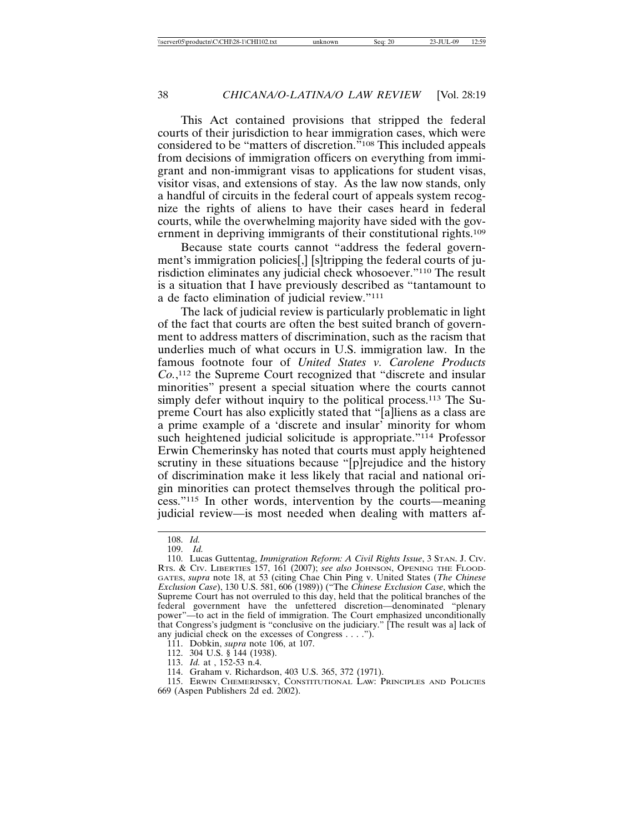This Act contained provisions that stripped the federal courts of their jurisdiction to hear immigration cases, which were considered to be "matters of discretion."108 This included appeals from decisions of immigration officers on everything from immigrant and non-immigrant visas to applications for student visas, visitor visas, and extensions of stay. As the law now stands, only a handful of circuits in the federal court of appeals system recognize the rights of aliens to have their cases heard in federal courts, while the overwhelming majority have sided with the government in depriving immigrants of their constitutional rights.<sup>109</sup>

Because state courts cannot "address the federal government's immigration policies[,] [s]tripping the federal courts of jurisdiction eliminates any judicial check whosoever."110 The result is a situation that I have previously described as "tantamount to a de facto elimination of judicial review."111

The lack of judicial review is particularly problematic in light of the fact that courts are often the best suited branch of government to address matters of discrimination, such as the racism that underlies much of what occurs in U.S. immigration law. In the famous footnote four of *United States v. Carolene Products Co.*, 112 the Supreme Court recognized that "discrete and insular minorities" present a special situation where the courts cannot simply defer without inquiry to the political process.<sup>113</sup> The Supreme Court has also explicitly stated that "[a]liens as a class are a prime example of a 'discrete and insular' minority for whom such heightened judicial solicitude is appropriate."114 Professor Erwin Chemerinsky has noted that courts must apply heightened scrutiny in these situations because "[p]rejudice and the history of discrimination make it less likely that racial and national origin minorities can protect themselves through the political process."115 In other words, intervention by the courts—meaning judicial review—is most needed when dealing with matters af-

<sup>108.</sup> *Id.*

<sup>109.</sup> *Id.*

<sup>110.</sup> Lucas Guttentag, *Immigration Reform: A Civil Rights Issue*, 3 STAN. J. CIV. RTS. & CIV. LIBERTIES 157, 161 (2007); *see also* JOHNSON, OPENING THE FLOOD-GATES, *supra* note 18, at 53 (citing Chae Chin Ping v. United States (*The Chinese Exclusion Case*), 130 U.S. 581, 606 (1989)) ("The *Chinese Exclusion Case*, which the Supreme Court has not overruled to this day, held that the political branches of the federal government have the unfettered discretion—denominated "plenary power"—to act in the field of immigration. The Court emphasized unconditionally that Congress's judgment is "conclusive on the judiciary." [The result was a] lack of any judicial check on the excesses of Congress . . . .").

<sup>111.</sup> Dobkin, *supra* note 106, at 107.

<sup>112. 304</sup> U.S. § 144 (1938).

<sup>113.</sup> *Id.* at , 152-53 n.4.

<sup>114.</sup> Graham v. Richardson, 403 U.S. 365, 372 (1971).

<sup>115.</sup> ERWIN CHEMERINSKY, CONSTITUTIONAL LAW: PRINCIPLES AND POLICIES 669 (Aspen Publishers 2d ed. 2002).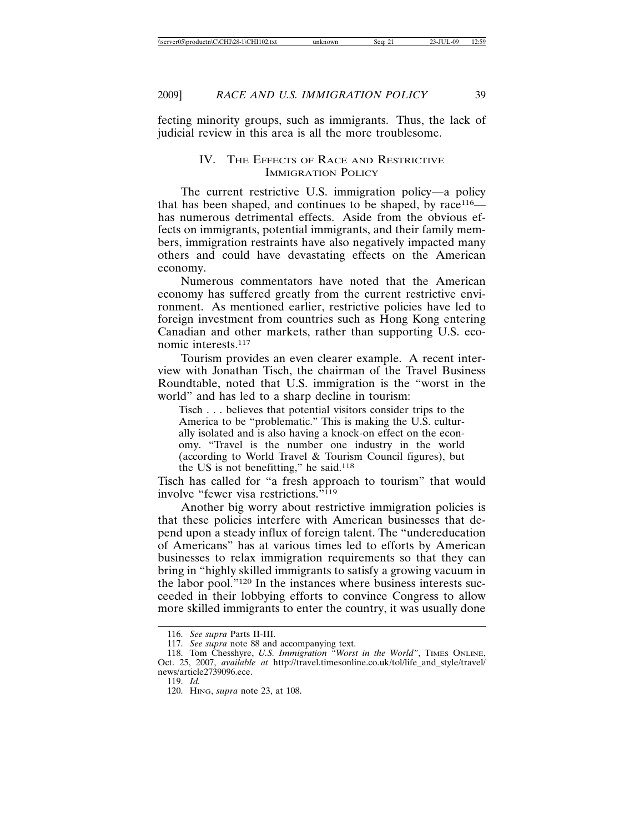fecting minority groups, such as immigrants. Thus, the lack of judicial review in this area is all the more troublesome.

# IV. THE EFFECTS OF RACE AND RESTRICTIVE IMMIGRATION POLICY

The current restrictive U.S. immigration policy—a policy that has been shaped, and continues to be shaped, by  $\text{race}^{116}$  has numerous detrimental effects. Aside from the obvious effects on immigrants, potential immigrants, and their family members, immigration restraints have also negatively impacted many others and could have devastating effects on the American economy.

Numerous commentators have noted that the American economy has suffered greatly from the current restrictive environment. As mentioned earlier, restrictive policies have led to foreign investment from countries such as Hong Kong entering Canadian and other markets, rather than supporting U.S. economic interests.117

Tourism provides an even clearer example. A recent interview with Jonathan Tisch, the chairman of the Travel Business Roundtable, noted that U.S. immigration is the "worst in the world" and has led to a sharp decline in tourism:

Tisch . . . believes that potential visitors consider trips to the America to be "problematic." This is making the U.S. culturally isolated and is also having a knock-on effect on the economy. "Travel is the number one industry in the world (according to World Travel & Tourism Council figures), but the US is not benefitting," he said. $118$ 

Tisch has called for "a fresh approach to tourism" that would involve "fewer visa restrictions."119

Another big worry about restrictive immigration policies is that these policies interfere with American businesses that depend upon a steady influx of foreign talent. The "undereducation of Americans" has at various times led to efforts by American businesses to relax immigration requirements so that they can bring in "highly skilled immigrants to satisfy a growing vacuum in the labor pool."120 In the instances where business interests succeeded in their lobbying efforts to convince Congress to allow more skilled immigrants to enter the country, it was usually done

<sup>116.</sup> *See supra* Parts II-III.

<sup>117.</sup> *See supra* note 88 and accompanying text.

<sup>118.</sup> Tom Chesshyre, U.S. Immigration "Worst in the World", TIMES ONLINE, Oct. 25, 2007, *available at* http://travel.timesonline.co.uk/tol/life\_and\_style/travel/ news/article2739096.ece.

<sup>119.</sup> *Id.*

<sup>120.</sup> HING, *supra* note 23, at 108.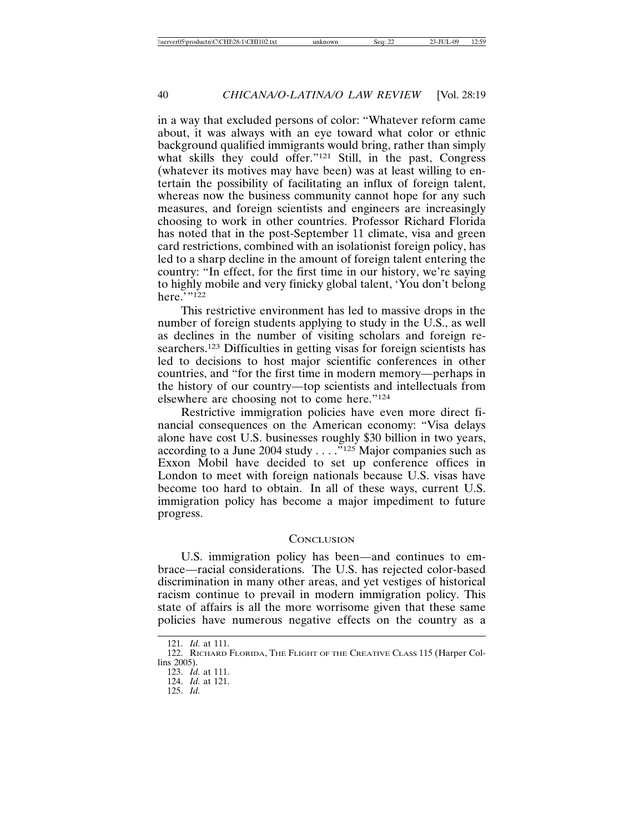in a way that excluded persons of color: "Whatever reform came about, it was always with an eye toward what color or ethnic background qualified immigrants would bring, rather than simply what skills they could offer."<sup>121</sup> Still, in the past, Congress (whatever its motives may have been) was at least willing to entertain the possibility of facilitating an influx of foreign talent, whereas now the business community cannot hope for any such measures, and foreign scientists and engineers are increasingly choosing to work in other countries. Professor Richard Florida has noted that in the post-September 11 climate, visa and green card restrictions, combined with an isolationist foreign policy, has led to a sharp decline in the amount of foreign talent entering the country: "In effect, for the first time in our history, we're saying to highly mobile and very finicky global talent, 'You don't belong here.''<sup>122</sup>

This restrictive environment has led to massive drops in the number of foreign students applying to study in the U.S., as well as declines in the number of visiting scholars and foreign researchers.123 Difficulties in getting visas for foreign scientists has led to decisions to host major scientific conferences in other countries, and "for the first time in modern memory—perhaps in the history of our country—top scientists and intellectuals from elsewhere are choosing not to come here."124

Restrictive immigration policies have even more direct financial consequences on the American economy: "Visa delays alone have cost U.S. businesses roughly \$30 billion in two years, according to a June 2004 study . . . ."125 Major companies such as Exxon Mobil have decided to set up conference offices in London to meet with foreign nationals because U.S. visas have become too hard to obtain. In all of these ways, current U.S. immigration policy has become a major impediment to future progress.

#### **CONCLUSION**

U.S. immigration policy has been—and continues to embrace—racial considerations. The U.S. has rejected color-based discrimination in many other areas, and yet vestiges of historical racism continue to prevail in modern immigration policy. This state of affairs is all the more worrisome given that these same policies have numerous negative effects on the country as a

<sup>121.</sup> *Id.* at 111.

<sup>122.</sup> RICHARD FLORIDA, THE FLIGHT OF THE CREATIVE CLASS 115 (Harper Collins 2005).

<sup>123.</sup> *Id.* at 111.

<sup>124.</sup> *Id.* at 121.

<sup>125.</sup> *Id.*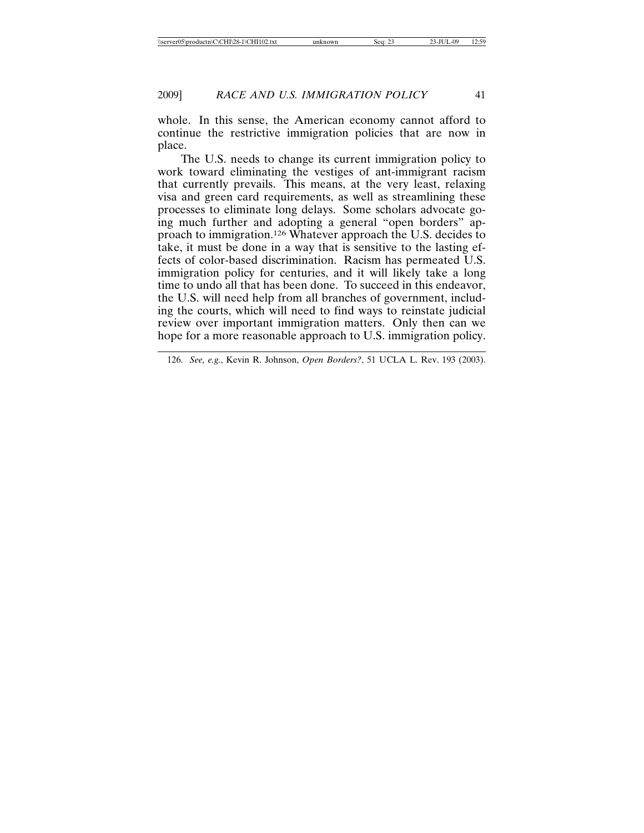whole. In this sense, the American economy cannot afford to continue the restrictive immigration policies that are now in place.

The U.S. needs to change its current immigration policy to work toward eliminating the vestiges of ant-immigrant racism that currently prevails. This means, at the very least, relaxing visa and green card requirements, as well as streamlining these processes to eliminate long delays. Some scholars advocate going much further and adopting a general "open borders" approach to immigration.126 Whatever approach the U.S. decides to take, it must be done in a way that is sensitive to the lasting effects of color-based discrimination. Racism has permeated U.S. immigration policy for centuries, and it will likely take a long time to undo all that has been done. To succeed in this endeavor, the U.S. will need help from all branches of government, including the courts, which will need to find ways to reinstate judicial review over important immigration matters. Only then can we hope for a more reasonable approach to U.S. immigration policy.

<sup>126.</sup> *See, e.g.*, Kevin R. Johnson, *Open Borders?*, 51 UCLA L. Rev. 193 (2003).